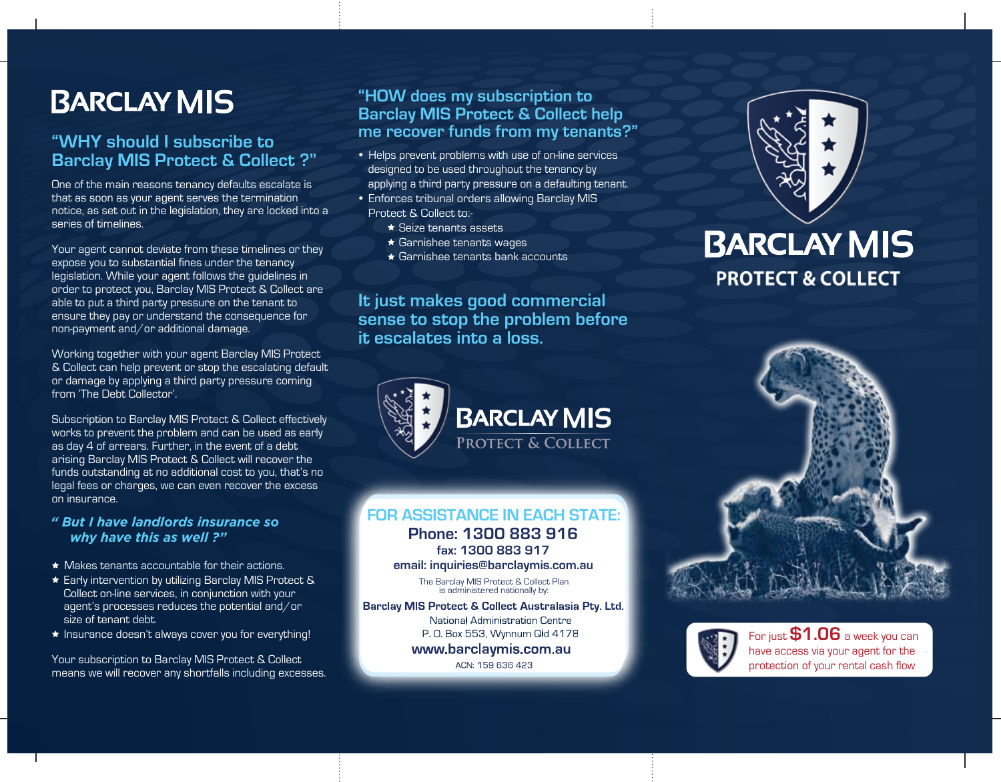# **BARCLAY MIS**

## **"WHY should I subscribe to Barclay MIS Protect & Collect ?"**

One of the main reasons tenancy defaults escalate is that as soon as your agent serves the termination notice, as set out in the legislation, they are locked into a series of timelines.

Your agent cannot deviate from these timelines or they expose you to substantial fines under the tenancy legislation. While your agent follows the guidelines in order to protect you, Barclay MIS Protect & Collect are able to put a third party pressure on the tenant to ensure they pay or understand the consequence for non-payment and/or additional damage.

Working together with your agent Barclay MIS Protect & Collect can help prevent or stop the escalating default or damage by applying a third party pressure coming from 'The Debt Collector'.

Subscription to Barclay MIS Protect & Collect effectively works to prevent the problem and can be used as early as day 4 of arrears. Further, in the event of a debt arising Barclay MIS Protect & Collect will recover the funds outstanding at no additional cost to you, that's no legal fees or charges, we can even recover the excess on insurance.

### *" But I have landlords insurance so why have this as well ?"*

- $\star$  Makes tenants accountable for their actions.
- ★ Early intervention by utilizing Barclay MIS Protect & Collect on-line services, in conjunction with your agent's processes reduces the potential and/or size of tenant debt.
- $\star$  Insurance doesn't always cover you for everything!

Your subscription to Barclay MIS Protect & Collect means we will recover any shortfalls including excesses.

### **"HOW does my subscription to Barclay MIS Protect & Collect help me recover funds from my tenants?"**

- Helps prevent problems with use of on-line services designed to be used throughout the tenancy by applying a third party pressure on a defaulting tenant.
- Enforces tribunal orders allowing Barclay MIS Protect & Collect to:-
	- **★ Seize tenants assets**
	- ★ Garnishee tenants wages
	- $\star$  Garnishee tenants bank accounts

**It just makes good commercial sense to stop the problem before it escalates into a loss.** 



## **FOR ASSISTANCE IN EACH STATE:**

**Phone: 1300 883 916 fax: 1300 883 917**

### **email: inquiries@barclaymis.com.au**

The Barclay MIS Protect & Collect Plan is administered nationally by:

Barclay MIS Protect & Collect Australasia Pty. Ltd.

National Administration Centre P. O. Box 553, Wynnum Qld 4178

## www.barclaymis.com.au

ACN: 159 636 423



## **BARCLAY MIS PROTECT & COLLECT**





For just **\$1.06** a week you can have access via your agent for the protection of your rental cash flow